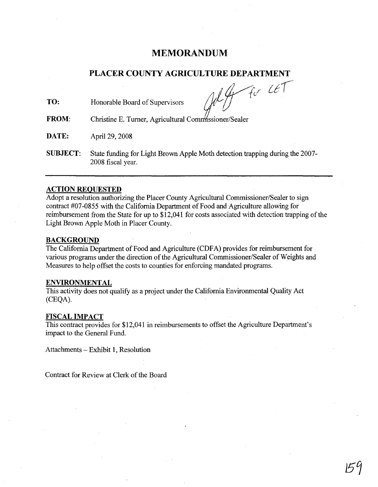# **MEMORANDUM**

## **PLACER COUNTY AGRICULTURE DEPARTMENT**

Honorable Board of Supervisors **TO:**

*l*<br>mm *iVid-UI*

Christine E. Turner, Agricultural Comm'ssioner/Sealer **FROM:**

**DATE:** April 29, 2008

**SUBJECT:** State funding for Light Brown Apple Moth detection trapping during the 2007- 2008 fiscal year.

### **ACTION REQUESTED**

Adopt a resolution authorizing the Placer County Agricultural Commissioner/Sealer to sign contract #07-0855 with the California Department of Food and Agriculture allowing for reimbursement from the State for up to \$12,041 for costs associated with detection trapping of the Light Brown Apple Moth in Placer County.

### **BACKGROUND**

The California Department of Food and Agriculture (CDFA) provides for reimbursement for various programs under the direction of the Agricultural Commissioner/Sealer of Weights and Measures to help offset the costs to counties for enforcing mandated programs.

#### **ENVIRONMENTAL**

This activity does not qualify as a project under the California Environmental Quality Act (CEQA).

#### **FISCAL IMPACT**

This contract provides for \$12,041 in reimbursements to offset the Agriculture Department's impact to the General Fund.

Attachments - Exhibit 1, Resolution

Contract for Review at Clerk of the Board